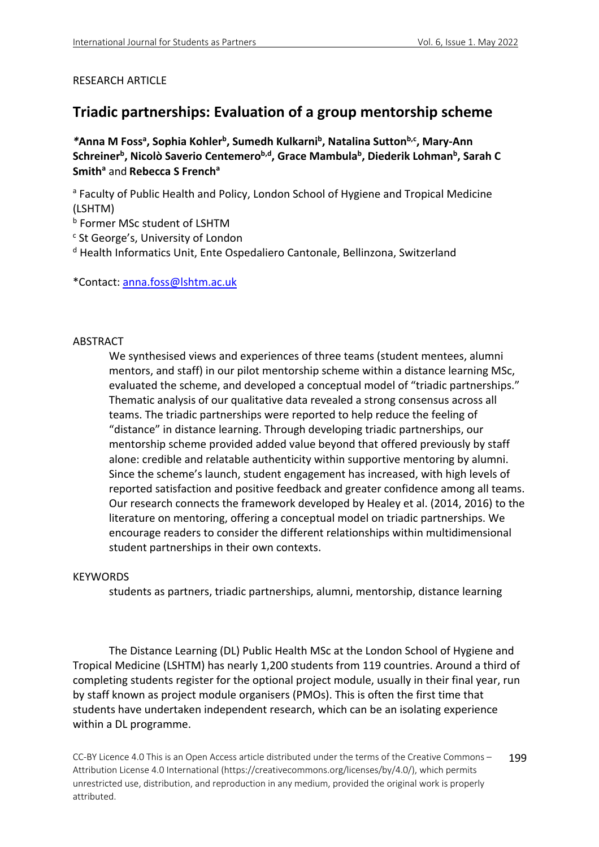### RESEARCH ARTICLE

# **Triadic partnerships: Evaluation of a group mentorship scheme**

<sup>\*</sup>Anna M Foss<sup>a</sup>, Sophia Kohler<sup>b</sup>, Sumedh Kulkarni<sup>b</sup>, Natalina Sutton<sup>b,c</sup>, Mary-Ann Schreiner<sup>b</sup>, Nicolò Saverio Centemero<sup>b,d</sup>, Grace Mambula<sup>b</sup>, Diederik Lohman<sup>b</sup>, Sarah C **Smith<sup>a</sup> and Rebecca S French<sup>a</sup>** 

a Faculty of Public Health and Policy, London School of Hygiene and Tropical Medicine (LSHTM)

<sup>b</sup> Former MSc student of LSHTM

<sup>c</sup> St George's, University of London

<sup>d</sup> Health Informatics Unit, Ente Ospedaliero Cantonale, Bellinzona, Switzerland

\*Contact: anna.foss@lshtm.ac.uk

### ABSTRACT

We synthesised views and experiences of three teams (student mentees, alumni mentors, and staff) in our pilot mentorship scheme within a distance learning MSc, evaluated the scheme, and developed a conceptual model of "triadic partnerships." Thematic analysis of our qualitative data revealed a strong consensus across all teams. The triadic partnerships were reported to help reduce the feeling of "distance" in distance learning. Through developing triadic partnerships, our mentorship scheme provided added value beyond that offered previously by staff alone: credible and relatable authenticity within supportive mentoring by alumni. Since the scheme's launch, student engagement has increased, with high levels of reported satisfaction and positive feedback and greater confidence among all teams. Our research connects the framework developed by Healey et al. (2014, 2016) to the literature on mentoring, offering a conceptual model on triadic partnerships. We encourage readers to consider the different relationships within multidimensional student partnerships in their own contexts.

### **KEYWORDS**

students as partners, triadic partnerships, alumni, mentorship, distance learning

The Distance Learning (DL) Public Health MSc at the London School of Hygiene and Tropical Medicine (LSHTM) has nearly 1,200 students from 119 countries. Around a third of completing students register for the optional project module, usually in their final year, run by staff known as project module organisers (PMOs). This is often the first time that students have undertaken independent research, which can be an isolating experience within a DL programme.

CC-BY Licence 4.0 This is an Open Access article distributed under the terms of the Creative Commons – Attribution License 4.0 International (https://creativecommons.org/licenses/by/4.0/), which permits unrestricted use, distribution, and reproduction in any medium, provided the original work is properly attributed. 199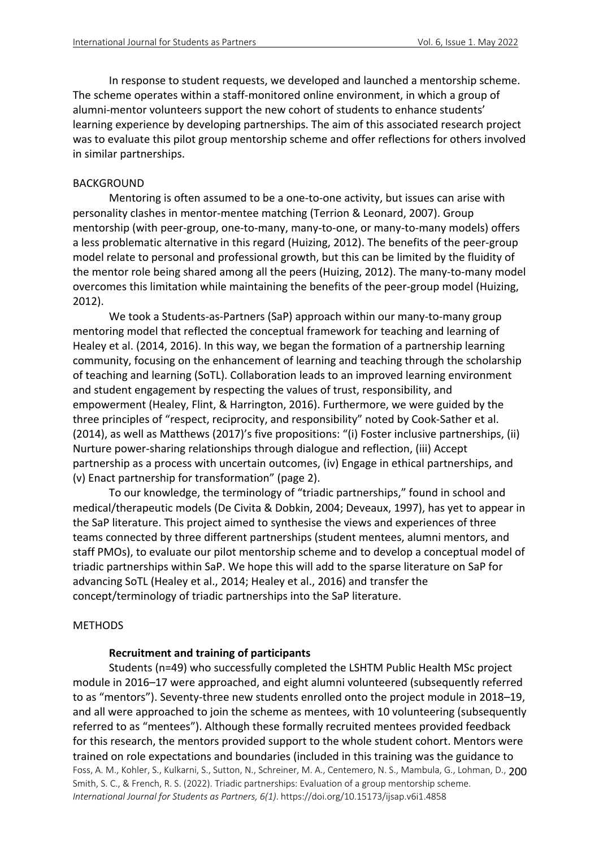In response to student requests, we developed and launched a mentorship scheme. The scheme operates within a staff-monitored online environment, in which a group of alumni-mentor volunteers support the new cohort of students to enhance students' learning experience by developing partnerships. The aim of this associated research project was to evaluate this pilot group mentorship scheme and offer reflections for others involved in similar partnerships.

#### BACKGROUND

Mentoring is often assumed to be a one-to-one activity, but issues can arise with personality clashes in mentor-mentee matching (Terrion & Leonard, 2007). Group mentorship (with peer-group, one-to-many, many-to-one, or many-to-many models) offers a less problematic alternative in this regard (Huizing, 2012). The benefits of the peer-group model relate to personal and professional growth, but this can be limited by the fluidity of the mentor role being shared among all the peers (Huizing, 2012). The many-to-many model overcomes this limitation while maintaining the benefits of the peer-group model (Huizing, 2012).

We took a Students-as-Partners (SaP) approach within our many-to-many group mentoring model that reflected the conceptual framework for teaching and learning of Healey et al. (2014, 2016). In this way, we began the formation of a partnership learning community, focusing on the enhancement of learning and teaching through the scholarship of teaching and learning (SoTL). Collaboration leads to an improved learning environment and student engagement by respecting the values of trust, responsibility, and empowerment (Healey, Flint, & Harrington, 2016). Furthermore, we were guided by the three principles of "respect, reciprocity, and responsibility" noted by Cook-Sather et al. (2014), as well as Matthews (2017)'s five propositions: "(i) Foster inclusive partnerships, (ii) Nurture power-sharing relationships through dialogue and reflection, (iii) Accept partnership as a process with uncertain outcomes, (iv) Engage in ethical partnerships, and (v) Enact partnership for transformation" (page 2).

To our knowledge, the terminology of "triadic partnerships," found in school and medical/therapeutic models (De Civita & Dobkin, 2004; Deveaux, 1997), has yet to appear in the SaP literature. This project aimed to synthesise the views and experiences of three teams connected by three different partnerships (student mentees, alumni mentors, and staff PMOs), to evaluate our pilot mentorship scheme and to develop a conceptual model of triadic partnerships within SaP. We hope this will add to the sparse literature on SaP for advancing SoTL (Healey et al., 2014; Healey et al., 2016) and transfer the concept/terminology of triadic partnerships into the SaP literature.

### METHODS

#### **Recruitment and training of participants**

Foss, A. M., Kohler, S., Kulkarni, S., Sutton, N., Schreiner, M. A., Centemero, N. S., Mambula, G., Lohman, D., 200 Smith, S. C., & French, R. S. (2022). Triadic partnerships: Evaluation of a group mentorship scheme. *International Journal for Students as Partners, 6(1)*. https://doi.org/10.15173/ijsap.v6i1.4858 Students (n=49) who successfully completed the LSHTM Public Health MSc project module in 2016–17 were approached, and eight alumni volunteered (subsequently referred to as "mentors"). Seventy-three new students enrolled onto the project module in 2018–19, and all were approached to join the scheme as mentees, with 10 volunteering (subsequently referred to as "mentees"). Although these formally recruited mentees provided feedback for this research, the mentors provided support to the whole student cohort. Mentors were trained on role expectations and boundaries (included in this training was the guidance to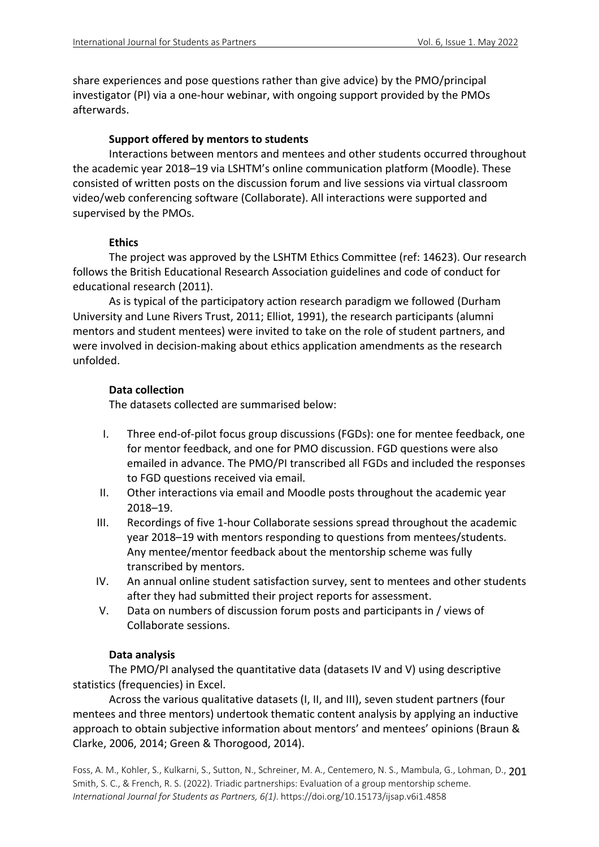share experiences and pose questions rather than give advice) by the PMO/principal investigator (PI) via a one-hour webinar, with ongoing support provided by the PMOs afterwards.

### **Support offered by mentors to students**

Interactions between mentors and mentees and other students occurred throughout the academic year 2018–19 via LSHTM's online communication platform (Moodle). These consisted of written posts on the discussion forum and live sessions via virtual classroom video/web conferencing software (Collaborate). All interactions were supported and supervised by the PMOs.

### **Ethics**

The project was approved by the LSHTM Ethics Committee (ref: 14623). Our research follows the British Educational Research Association guidelines and code of conduct for educational research (2011).

As is typical of the participatory action research paradigm we followed (Durham University and Lune Rivers Trust, 2011; Elliot, 1991), the research participants (alumni mentors and student mentees) were invited to take on the role of student partners, and were involved in decision-making about ethics application amendments as the research unfolded.

### **Data collection**

The datasets collected are summarised below:

- I. Three end-of-pilot focus group discussions (FGDs): one for mentee feedback, one for mentor feedback, and one for PMO discussion. FGD questions were also emailed in advance. The PMO/PI transcribed all FGDs and included the responses to FGD questions received via email.
- II. Other interactions via email and Moodle posts throughout the academic year 2018–19.
- III. Recordings of five 1-hour Collaborate sessions spread throughout the academic year 2018–19 with mentors responding to questions from mentees/students. Any mentee/mentor feedback about the mentorship scheme was fully transcribed by mentors.
- IV. An annual online student satisfaction survey, sent to mentees and other students after they had submitted their project reports for assessment.
- V. Data on numbers of discussion forum posts and participants in / views of Collaborate sessions.

### **Data analysis**

The PMO/PI analysed the quantitative data (datasets IV and V) using descriptive statistics (frequencies) in Excel.

Across the various qualitative datasets (I, II, and III), seven student partners (four mentees and three mentors) undertook thematic content analysis by applying an inductive approach to obtain subjective information about mentors' and mentees' opinions (Braun & Clarke, 2006, 2014; Green & Thorogood, 2014).

Foss, A. M., Kohler, S., Kulkarni, S., Sutton, N., Schreiner, M. A., Centemero, N. S., Mambula, G., Lohman, D., 201 Smith, S. C., & French, R. S. (2022). Triadic partnerships: Evaluation of a group mentorship scheme. *International Journal for Students as Partners, 6(1)*. https://doi.org/10.15173/ijsap.v6i1.4858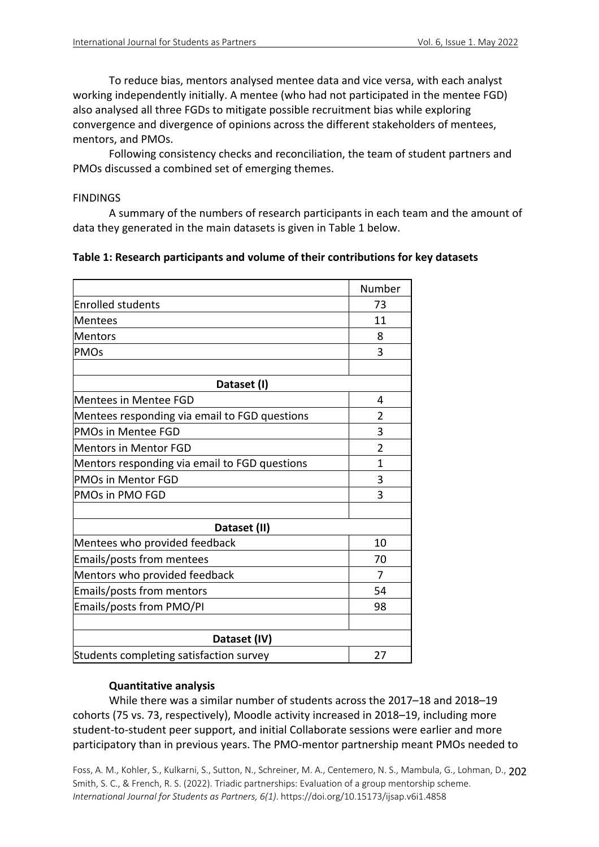To reduce bias, mentors analysed mentee data and vice versa, with each analyst working independently initially. A mentee (who had not participated in the mentee FGD) also analysed all three FGDs to mitigate possible recruitment bias while exploring convergence and divergence of opinions across the different stakeholders of mentees, mentors, and PMOs.

Following consistency checks and reconciliation, the team of student partners and PMOs discussed a combined set of emerging themes.

### **FINDINGS**

A summary of the numbers of research participants in each team and the amount of data they generated in the main datasets is given in Table 1 below.

### **Table 1: Research participants and volume of their contributions for key datasets**

|                                               | Number         |
|-----------------------------------------------|----------------|
| <b>Enrolled students</b>                      | 73             |
| <b>Mentees</b>                                | 11             |
| <b>Mentors</b>                                | 8              |
| <b>PMOs</b>                                   | 3              |
|                                               |                |
| Dataset (I)                                   |                |
| <b>Mentees in Mentee FGD</b>                  | 4              |
| Mentees responding via email to FGD questions | 2              |
| <b>PMOs in Mentee FGD</b>                     | 3              |
| <b>Mentors in Mentor FGD</b>                  | $\overline{2}$ |
| Mentors responding via email to FGD questions | $\mathbf{1}$   |
| <b>PMOs in Mentor FGD</b>                     | 3              |
| <b>PMOs in PMO FGD</b>                        | 3              |
|                                               |                |
| Dataset (II)                                  |                |
| Mentees who provided feedback                 | 10             |
| Emails/posts from mentees                     | 70             |
| Mentors who provided feedback                 | 7              |
| Emails/posts from mentors                     | 54             |
| Emails/posts from PMO/PI                      | 98             |
|                                               |                |
| Dataset (IV)                                  |                |
| Students completing satisfaction survey       | 27             |

### **Quantitative analysis**

While there was a similar number of students across the 2017–18 and 2018–19 cohorts (75 vs. 73, respectively), Moodle activity increased in 2018–19, including more student-to-student peer support, and initial Collaborate sessions were earlier and more participatory than in previous years. The PMO-mentor partnership meant PMOs needed to

Foss, A. M., Kohler, S., Kulkarni, S., Sutton, N., Schreiner, M. A., Centemero, N. S., Mambula, G., Lohman, D., 202 Smith, S. C., & French, R. S. (2022). Triadic partnerships: Evaluation of a group mentorship scheme. *International Journal for Students as Partners, 6(1)*. https://doi.org/10.15173/ijsap.v6i1.4858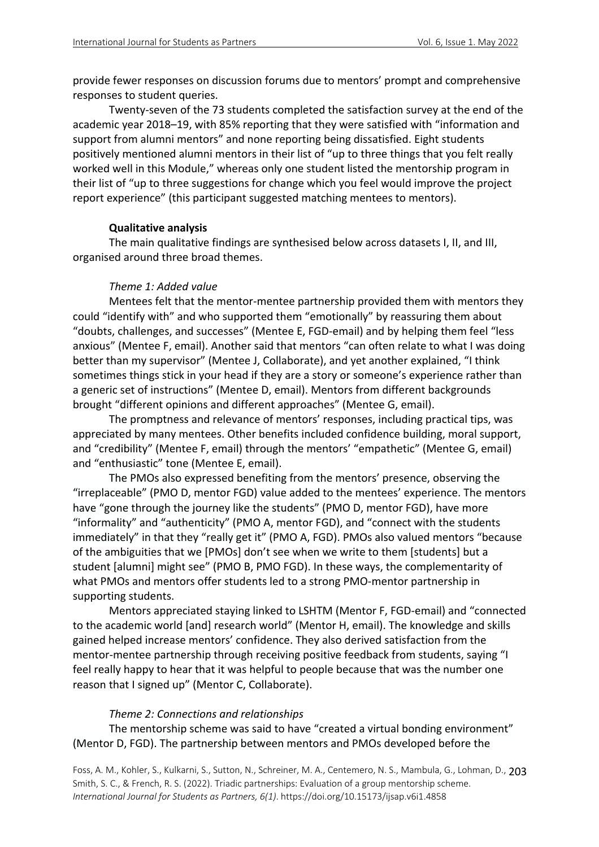provide fewer responses on discussion forums due to mentors' prompt and comprehensive responses to student queries.

Twenty-seven of the 73 students completed the satisfaction survey at the end of the academic year 2018–19, with 85% reporting that they were satisfied with "information and support from alumni mentors" and none reporting being dissatisfied. Eight students positively mentioned alumni mentors in their list of "up to three things that you felt really worked well in this Module," whereas only one student listed the mentorship program in their list of "up to three suggestions for change which you feel would improve the project report experience" (this participant suggested matching mentees to mentors).

### **Qualitative analysis**

The main qualitative findings are synthesised below across datasets I, II, and III, organised around three broad themes.

### *Theme 1: Added value*

Mentees felt that the mentor-mentee partnership provided them with mentors they could "identify with" and who supported them "emotionally" by reassuring them about "doubts, challenges, and successes" (Mentee E, FGD-email) and by helping them feel "less anxious" (Mentee F, email). Another said that mentors "can often relate to what I was doing better than my supervisor" (Mentee J, Collaborate), and yet another explained, "I think sometimes things stick in your head if they are a story or someone's experience rather than a generic set of instructions" (Mentee D, email). Mentors from different backgrounds brought "different opinions and different approaches" (Mentee G, email).

The promptness and relevance of mentors' responses, including practical tips, was appreciated by many mentees. Other benefits included confidence building, moral support, and "credibility" (Mentee F, email) through the mentors' "empathetic" (Mentee G, email) and "enthusiastic" tone (Mentee E, email).

The PMOs also expressed benefiting from the mentors' presence, observing the "irreplaceable" (PMO D, mentor FGD) value added to the mentees' experience. The mentors have "gone through the journey like the students" (PMO D, mentor FGD), have more "informality" and "authenticity" (PMO A, mentor FGD), and "connect with the students immediately" in that they "really get it" (PMO A, FGD). PMOs also valued mentors "because of the ambiguities that we [PMOs] don't see when we write to them [students] but a student [alumni] might see" (PMO B, PMO FGD). In these ways, the complementarity of what PMOs and mentors offer students led to a strong PMO-mentor partnership in supporting students.

Mentors appreciated staying linked to LSHTM (Mentor F, FGD-email) and "connected to the academic world [and] research world" (Mentor H, email). The knowledge and skills gained helped increase mentors' confidence. They also derived satisfaction from the mentor-mentee partnership through receiving positive feedback from students, saying "I feel really happy to hear that it was helpful to people because that was the number one reason that I signed up" (Mentor C, Collaborate).

### *Theme 2: Connections and relationships*

### The mentorship scheme was said to have "created a virtual bonding environment" (Mentor D, FGD). The partnership between mentors and PMOs developed before the

Foss, A. M., Kohler, S., Kulkarni, S., Sutton, N., Schreiner, M. A., Centemero, N. S., Mambula, G., Lohman, D., 203 Smith, S. C., & French, R. S. (2022). Triadic partnerships: Evaluation of a group mentorship scheme. *International Journal for Students as Partners, 6(1)*. https://doi.org/10.15173/ijsap.v6i1.4858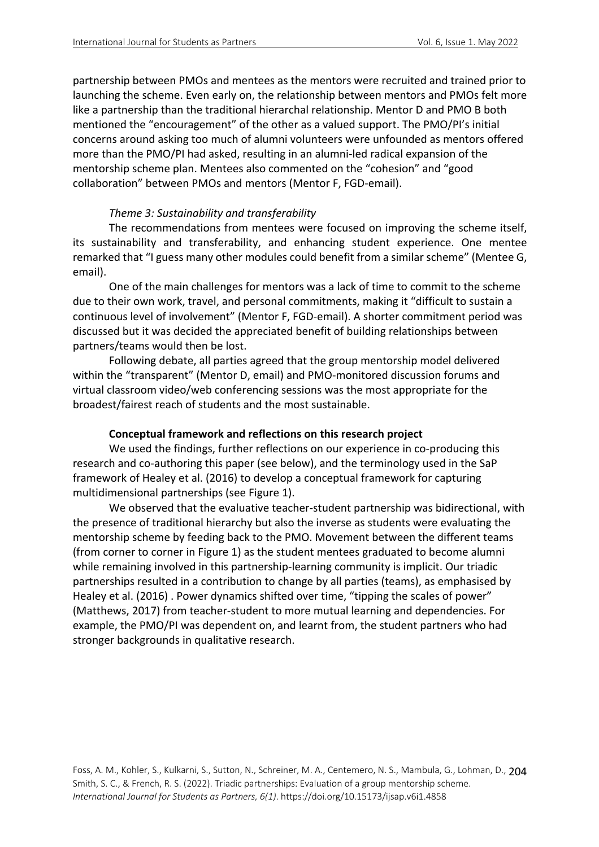partnership between PMOs and mentees as the mentors were recruited and trained prior to launching the scheme. Even early on, the relationship between mentors and PMOs felt more like a partnership than the traditional hierarchal relationship. Mentor D and PMO B both mentioned the "encouragement" of the other as a valued support. The PMO/PI's initial concerns around asking too much of alumni volunteers were unfounded as mentors offered more than the PMO/PI had asked, resulting in an alumni-led radical expansion of the mentorship scheme plan. Mentees also commented on the "cohesion" and "good collaboration" between PMOs and mentors (Mentor F, FGD-email).

### *Theme 3: Sustainability and transferability*

The recommendations from mentees were focused on improving the scheme itself, its sustainability and transferability, and enhancing student experience. One mentee remarked that "I guess many other modules could benefit from a similar scheme" (Mentee G, email).

One of the main challenges for mentors was a lack of time to commit to the scheme due to their own work, travel, and personal commitments, making it "difficult to sustain a continuous level of involvement" (Mentor F, FGD-email). A shorter commitment period was discussed but it was decided the appreciated benefit of building relationships between partners/teams would then be lost.

Following debate, all parties agreed that the group mentorship model delivered within the "transparent" (Mentor D, email) and PMO-monitored discussion forums and virtual classroom video/web conferencing sessions was the most appropriate for the broadest/fairest reach of students and the most sustainable.

### **Conceptual framework and reflections on this research project**

We used the findings, further reflections on our experience in co-producing this research and co-authoring this paper (see below), and the terminology used in the SaP framework of Healey et al. (2016) to develop a conceptual framework for capturing multidimensional partnerships (see Figure 1).

We observed that the evaluative teacher-student partnership was bidirectional, with the presence of traditional hierarchy but also the inverse as students were evaluating the mentorship scheme by feeding back to the PMO. Movement between the different teams (from corner to corner in Figure 1) as the student mentees graduated to become alumni while remaining involved in this partnership-learning community is implicit. Our triadic partnerships resulted in a contribution to change by all parties (teams), as emphasised by Healey et al. (2016) . Power dynamics shifted over time, "tipping the scales of power" (Matthews, 2017) from teacher-student to more mutual learning and dependencies. For example, the PMO/PI was dependent on, and learnt from, the student partners who had stronger backgrounds in qualitative research.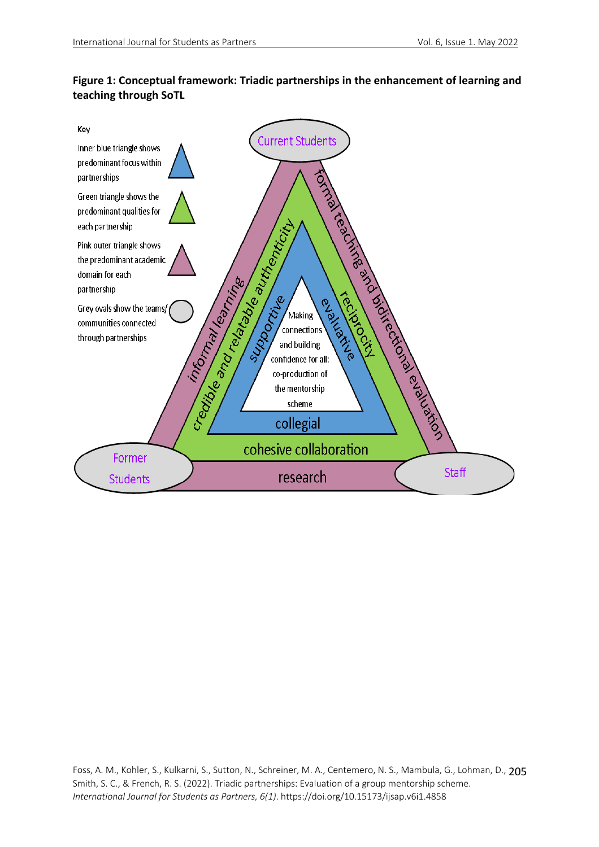

# **Figure 1: Conceptual framework: Triadic partnerships in the enhancement of learning and teaching through SoTL**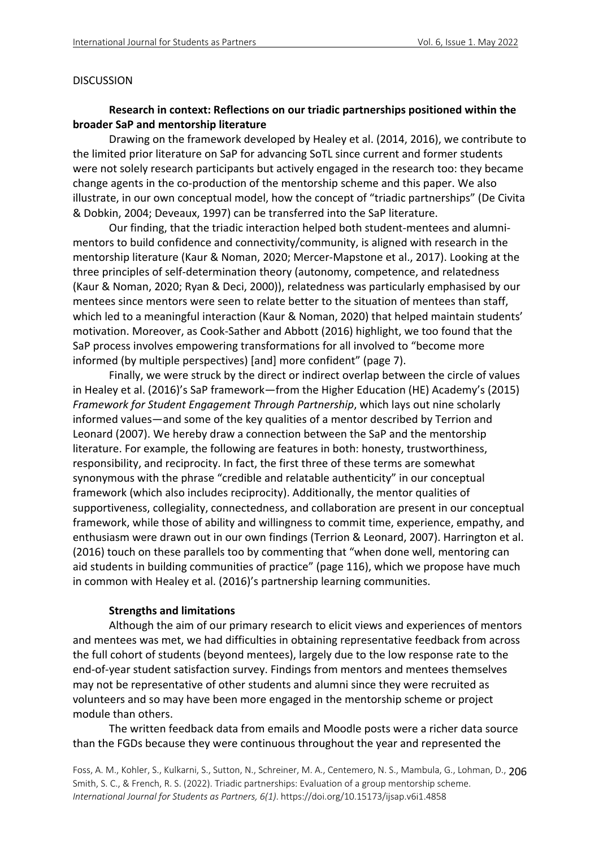#### DISCUSSION

### **Research in context: Reflections on our triadic partnerships positioned within the broader SaP and mentorship literature**

Drawing on the framework developed by Healey et al. (2014, 2016), we contribute to the limited prior literature on SaP for advancing SoTL since current and former students were not solely research participants but actively engaged in the research too: they became change agents in the co-production of the mentorship scheme and this paper. We also illustrate, in our own conceptual model, how the concept of "triadic partnerships" (De Civita & Dobkin, 2004; Deveaux, 1997) can be transferred into the SaP literature.

Our finding, that the triadic interaction helped both student-mentees and alumnimentors to build confidence and connectivity/community, is aligned with research in the mentorship literature (Kaur & Noman, 2020; Mercer-Mapstone et al., 2017). Looking at the three principles of self-determination theory (autonomy, competence, and relatedness (Kaur & Noman, 2020; Ryan & Deci, 2000)), relatedness was particularly emphasised by our mentees since mentors were seen to relate better to the situation of mentees than staff, which led to a meaningful interaction (Kaur & Noman, 2020) that helped maintain students' motivation. Moreover, as Cook-Sather and Abbott (2016) highlight, we too found that the SaP process involves empowering transformations for all involved to "become more informed (by multiple perspectives) [and] more confident" (page 7).

Finally, we were struck by the direct or indirect overlap between the circle of values in Healey et al. (2016)'s SaP framework—from the Higher Education (HE) Academy's (2015) *Framework for Student Engagement Through Partnership*, which lays out nine scholarly informed values—and some of the key qualities of a mentor described by Terrion and Leonard (2007). We hereby draw a connection between the SaP and the mentorship literature. For example, the following are features in both: honesty, trustworthiness, responsibility, and reciprocity. In fact, the first three of these terms are somewhat synonymous with the phrase "credible and relatable authenticity" in our conceptual framework (which also includes reciprocity). Additionally, the mentor qualities of supportiveness, collegiality, connectedness, and collaboration are present in our conceptual framework, while those of ability and willingness to commit time, experience, empathy, and enthusiasm were drawn out in our own findings (Terrion & Leonard, 2007). Harrington et al. (2016) touch on these parallels too by commenting that "when done well, mentoring can aid students in building communities of practice" (page 116), which we propose have much in common with Healey et al. (2016)'s partnership learning communities.

#### **Strengths and limitations**

Although the aim of our primary research to elicit views and experiences of mentors and mentees was met, we had difficulties in obtaining representative feedback from across the full cohort of students (beyond mentees), largely due to the low response rate to the end-of-year student satisfaction survey. Findings from mentors and mentees themselves may not be representative of other students and alumni since they were recruited as volunteers and so may have been more engaged in the mentorship scheme or project module than others.

The written feedback data from emails and Moodle posts were a richer data source than the FGDs because they were continuous throughout the year and represented the

Foss, A. M., Kohler, S., Kulkarni, S., Sutton, N., Schreiner, M. A., Centemero, N. S., Mambula, G., Lohman, D., 206 Smith, S. C., & French, R. S. (2022). Triadic partnerships: Evaluation of a group mentorship scheme. *International Journal for Students as Partners, 6(1)*. https://doi.org/10.15173/ijsap.v6i1.4858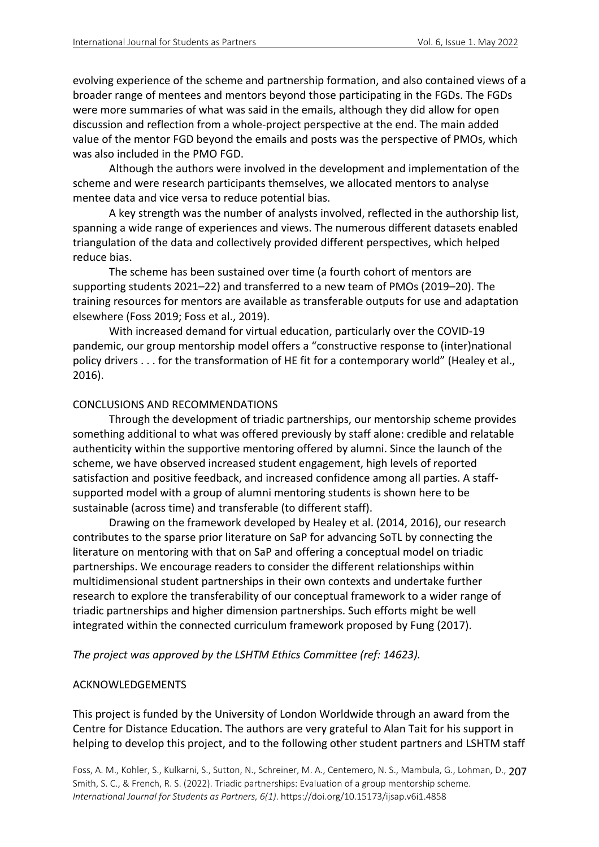evolving experience of the scheme and partnership formation, and also contained views of a broader range of mentees and mentors beyond those participating in the FGDs. The FGDs were more summaries of what was said in the emails, although they did allow for open discussion and reflection from a whole-project perspective at the end. The main added value of the mentor FGD beyond the emails and posts was the perspective of PMOs, which was also included in the PMO FGD.

Although the authors were involved in the development and implementation of the scheme and were research participants themselves, we allocated mentors to analyse mentee data and vice versa to reduce potential bias.

A key strength was the number of analysts involved, reflected in the authorship list, spanning a wide range of experiences and views. The numerous different datasets enabled triangulation of the data and collectively provided different perspectives, which helped reduce bias.

The scheme has been sustained over time (a fourth cohort of mentors are supporting students 2021–22) and transferred to a new team of PMOs (2019–20). The training resources for mentors are available as transferable outputs for use and adaptation elsewhere (Foss 2019; Foss et al., 2019).

With increased demand for virtual education, particularly over the COVID-19 pandemic, our group mentorship model offers a "constructive response to (inter)national policy drivers . . . for the transformation of HE fit for a contemporary world" (Healey et al., 2016).

### CONCLUSIONS AND RECOMMENDATIONS

Through the development of triadic partnerships, our mentorship scheme provides something additional to what was offered previously by staff alone: credible and relatable authenticity within the supportive mentoring offered by alumni. Since the launch of the scheme, we have observed increased student engagement, high levels of reported satisfaction and positive feedback, and increased confidence among all parties. A staffsupported model with a group of alumni mentoring students is shown here to be sustainable (across time) and transferable (to different staff).

Drawing on the framework developed by Healey et al. (2014, 2016), our research contributes to the sparse prior literature on SaP for advancing SoTL by connecting the literature on mentoring with that on SaP and offering a conceptual model on triadic partnerships. We encourage readers to consider the different relationships within multidimensional student partnerships in their own contexts and undertake further research to explore the transferability of our conceptual framework to a wider range of triadic partnerships and higher dimension partnerships. Such efforts might be well integrated within the connected curriculum framework proposed by Fung (2017).

*The project was approved by the LSHTM Ethics Committee (ref: 14623).*

### ACKNOWLEDGEMENTS

This project is funded by the University of London Worldwide through an award from the Centre for Distance Education. The authors are very grateful to Alan Tait for his support in helping to develop this project, and to the following other student partners and LSHTM staff

Foss, A. M., Kohler, S., Kulkarni, S., Sutton, N., Schreiner, M. A., Centemero, N. S., Mambula, G., Lohman, D., 207 Smith, S. C., & French, R. S. (2022). Triadic partnerships: Evaluation of a group mentorship scheme. *International Journal for Students as Partners, 6(1)*. https://doi.org/10.15173/ijsap.v6i1.4858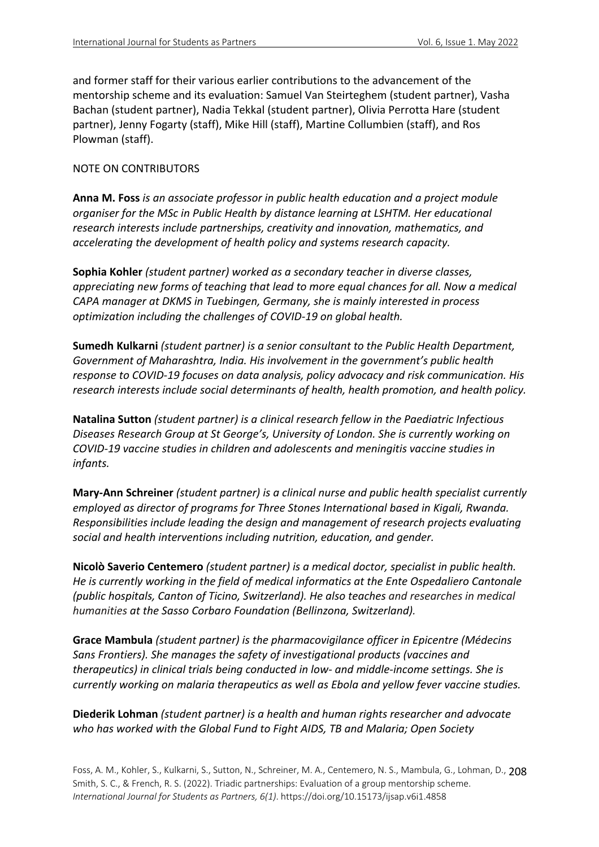and former staff for their various earlier contributions to the advancement of the mentorship scheme and its evaluation: Samuel Van Steirteghem (student partner), Vasha Bachan (student partner), Nadia Tekkal (student partner), Olivia Perrotta Hare (student partner), Jenny Fogarty (staff), Mike Hill (staff), Martine Collumbien (staff), and Ros Plowman (staff).

### NOTE ON CONTRIBUTORS

**Anna M. Foss** *is an associate professor in public health education and a project module organiser for the MSc in Public Health by distance learning at LSHTM. Her educational research interests include partnerships, creativity and innovation, mathematics, and accelerating the development of health policy and systems research capacity.*

**Sophia Kohler** *(student partner) worked as a secondary teacher in diverse classes, appreciating new forms of teaching that lead to more equal chances for all. Now a medical CAPA manager at DKMS in Tuebingen, Germany, she is mainly interested in process optimization including the challenges of COVID-19 on global health.*

**Sumedh Kulkarni** *(student partner) is a senior consultant to the Public Health Department, Government of Maharashtra, India. His involvement in the government's public health response to COVID-19 focuses on data analysis, policy advocacy and risk communication. His research interests include social determinants of health, health promotion, and health policy.*

**Natalina Sutton** *(student partner) is a clinical research fellow in the Paediatric Infectious Diseases Research Group at St George's, University of London. She is currently working on COVID-19 vaccine studies in children and adolescents and meningitis vaccine studies in infants.*

**Mary-Ann Schreiner** *(student partner) is a clinical nurse and public health specialist currently employed as director of programs for Three Stones International based in Kigali, Rwanda. Responsibilities include leading the design and management of research projects evaluating social and health interventions including nutrition, education, and gender.* 

**Nicolò Saverio Centemero** *(student partner) is a medical doctor, specialist in public health. He is currently working in the field of medical informatics at the Ente Ospedaliero Cantonale (public hospitals, Canton of Ticino, Switzerland). He also teaches and researches in medical humanities at the Sasso Corbaro Foundation (Bellinzona, Switzerland).*

**Grace Mambula** *(student partner) is the pharmacovigilance officer in Epicentre (Médecins Sans Frontiers). She manages the safety of investigational products (vaccines and therapeutics) in clinical trials being conducted in low- and middle-income settings. She is currently working on malaria therapeutics as well as Ebola and yellow fever vaccine studies.*

## **Diederik Lohman** *(student partner) is a health and human rights researcher and advocate who has worked with the Global Fund to Fight AIDS, TB and Malaria; Open Society*

Foss, A. M., Kohler, S., Kulkarni, S., Sutton, N., Schreiner, M. A., Centemero, N. S., Mambula, G., Lohman, D., 208 Smith, S. C., & French, R. S. (2022). Triadic partnerships: Evaluation of a group mentorship scheme. *International Journal for Students as Partners, 6(1)*. https://doi.org/10.15173/ijsap.v6i1.4858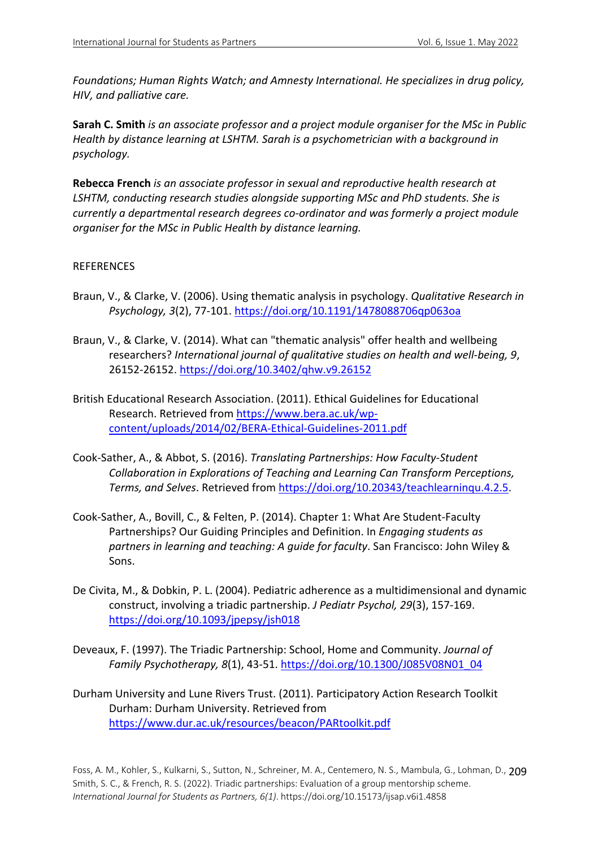*Foundations; Human Rights Watch; and Amnesty International. He specializes in drug policy, HIV, and palliative care.*

**Sarah C. Smith** *is an associate professor and a project module organiser for the MSc in Public Health by distance learning at LSHTM. Sarah is a psychometrician with a background in psychology.*

**Rebecca French** *is an associate professor in sexual and reproductive health research at LSHTM, conducting research studies alongside supporting MSc and PhD students. She is currently a departmental research degrees co-ordinator and was formerly a project module organiser for the MSc in Public Health by distance learning.* 

### REFERENCES

- Braun, V., & Clarke, V. (2006). Using thematic analysis in psychology. *Qualitative Research in Psychology, 3*(2), 77-101. https://doi.org/10.1191/1478088706qp063oa
- Braun, V., & Clarke, V. (2014). What can "thematic analysis" offer health and wellbeing researchers? *International journal of qualitative studies on health and well-being, 9*, 26152-26152. https://doi.org/10.3402/qhw.v9.26152
- British Educational Research Association. (2011). Ethical Guidelines for Educational Research. Retrieved from https://www.bera.ac.uk/wpcontent/uploads/2014/02/BERA-Ethical-Guidelines-2011.pdf
- Cook-Sather, A., & Abbot, S. (2016). *Translating Partnerships: How Faculty-Student Collaboration in Explorations of Teaching and Learning Can Transform Perceptions, Terms, and Selves*. Retrieved from https://doi.org/10.20343/teachlearninqu.4.2.5.
- Cook-Sather, A., Bovill, C., & Felten, P. (2014). Chapter 1: What Are Student-Faculty Partnerships? Our Guiding Principles and Definition. In *Engaging students as partners in learning and teaching: A guide for faculty*. San Francisco: John Wiley & Sons.
- De Civita, M., & Dobkin, P. L. (2004). Pediatric adherence as a multidimensional and dynamic construct, involving a triadic partnership. *J Pediatr Psychol, 29*(3), 157-169. https://doi.org/10.1093/jpepsy/jsh018
- Deveaux, F. (1997). The Triadic Partnership: School, Home and Community. *Journal of Family Psychotherapy, 8*(1), 43-51. https://doi.org/10.1300/J085V08N01\_04
- Durham University and Lune Rivers Trust. (2011). Participatory Action Research Toolkit Durham: Durham University. Retrieved from https://www.dur.ac.uk/resources/beacon/PARtoolkit.pdf

Foss, A. M., Kohler, S., Kulkarni, S., Sutton, N., Schreiner, M. A., Centemero, N. S., Mambula, G., Lohman, D., 209 Smith, S. C., & French, R. S. (2022). Triadic partnerships: Evaluation of a group mentorship scheme. *International Journal for Students as Partners, 6(1)*. https://doi.org/10.15173/ijsap.v6i1.4858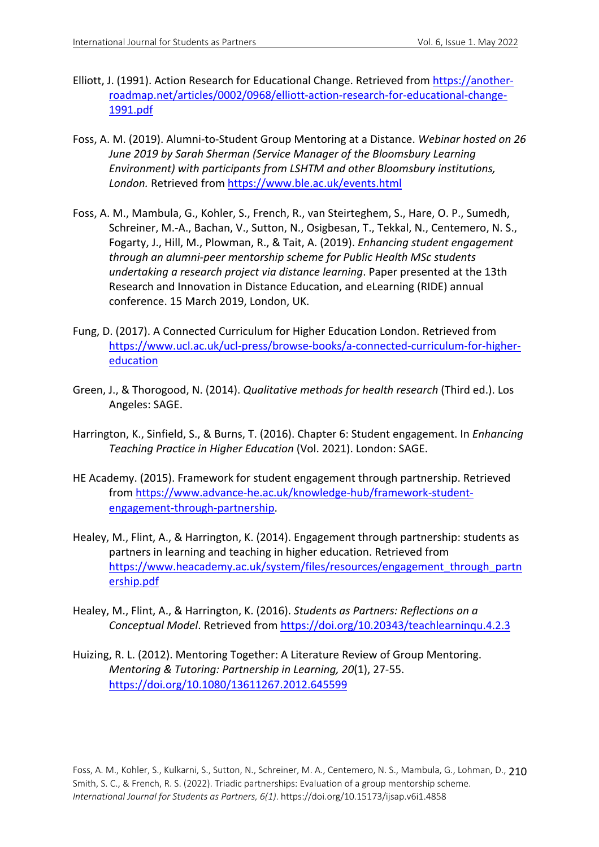- Elliott, J. (1991). Action Research for Educational Change. Retrieved from https://anotherroadmap.net/articles/0002/0968/elliott-action-research-for-educational-change-1991.pdf
- Foss, A. M. (2019). Alumni-to-Student Group Mentoring at a Distance. *Webinar hosted on 26 June 2019 by Sarah Sherman (Service Manager of the Bloomsbury Learning Environment) with participants from LSHTM and other Bloomsbury institutions, London.* Retrieved from https://www.ble.ac.uk/events.html
- Foss, A. M., Mambula, G., Kohler, S., French, R., van Steirteghem, S., Hare, O. P., Sumedh, Schreiner, M.-A., Bachan, V., Sutton, N., Osigbesan, T., Tekkal, N., Centemero, N. S., Fogarty, J., Hill, M., Plowman, R., & Tait, A. (2019). *Enhancing student engagement through an alumni-peer mentorship scheme for Public Health MSc students undertaking a research project via distance learning*. Paper presented at the 13th Research and Innovation in Distance Education, and eLearning (RIDE) annual conference. 15 March 2019, London, UK.
- Fung, D. (2017). A Connected Curriculum for Higher Education London. Retrieved from https://www.ucl.ac.uk/ucl-press/browse-books/a-connected-curriculum-for-highereducation
- Green, J., & Thorogood, N. (2014). *Qualitative methods for health research* (Third ed.). Los Angeles: SAGE.
- Harrington, K., Sinfield, S., & Burns, T. (2016). Chapter 6: Student engagement. In *Enhancing Teaching Practice in Higher Education* (Vol. 2021). London: SAGE.
- HE Academy. (2015). Framework for student engagement through partnership. Retrieved from https://www.advance-he.ac.uk/knowledge-hub/framework-studentengagement-through-partnership.
- Healey, M., Flint, A., & Harrington, K. (2014). Engagement through partnership: students as partners in learning and teaching in higher education. Retrieved from https://www.heacademy.ac.uk/system/files/resources/engagement\_through\_partn ership.pdf
- Healey, M., Flint, A., & Harrington, K. (2016). *Students as Partners: Reflections on a Conceptual Model*. Retrieved from https://doi.org/10.20343/teachlearninqu.4.2.3
- Huizing, R. L. (2012). Mentoring Together: A Literature Review of Group Mentoring. *Mentoring & Tutoring: Partnership in Learning, 20*(1), 27-55. https://doi.org/10.1080/13611267.2012.645599

Foss, A. M., Kohler, S., Kulkarni, S., Sutton, N., Schreiner, M. A., Centemero, N. S., Mambula, G., Lohman, D., 210 Smith, S. C., & French, R. S. (2022). Triadic partnerships: Evaluation of a group mentorship scheme. *International Journal for Students as Partners, 6(1)*. https://doi.org/10.15173/ijsap.v6i1.4858